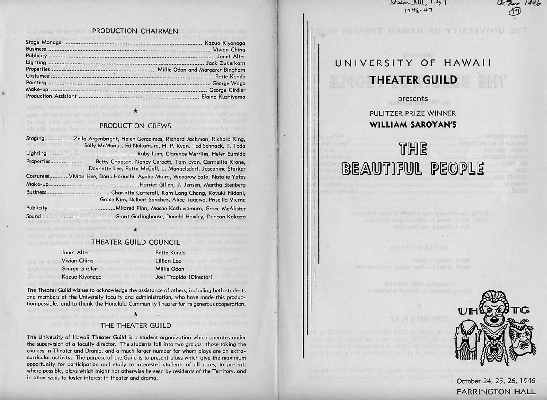$84 - 211$ ,  $13$ ,  $1$  $1446 - 47$ 

**ITAWAH RO YTIZSEVINU** 

#### any percent anse from t PRODUCTION CHAIRMEN

|                   | Kazuo Kiyonaga     |
|-------------------|--------------------|
|                   |                    |
|                   |                    |
|                   |                    |
| <b>Properties</b> |                    |
|                   | <b>Bette Kondo</b> |
|                   | George Wago        |
|                   | George Girdler     |
|                   | Elaine Kushiyama   |

#### PRODUCTION CREWS advants matiofa flaw of ann

sources becomes on as still and only of this militarian introduce of

'

| Staging     | Zella Argenbright, Helen Geracimos, Richard Jackman, Richard King,                                                        |
|-------------|---------------------------------------------------------------------------------------------------------------------------|
|             | Sally McManus, Ed Nakamura, H. P. Ryan, Ted Schnack, T. Toda                                                              |
| Lighting.   | Ruby Lum, Clarence Merriles, Helen Sumida.                                                                                |
| Properties. | Betty Chapson, Nancy Corbett, Tom Evan, Carmelita Krone,<br>Donnette Lee, Patty McCall, L. Mangelsdorf, Josephine Starker |
| Costumes.   | Vivian Hee, Doris Horiuchi, Ayako Miura, Woodrow Sato, Natalie Yates                                                      |
| Make-up     |                                                                                                                           |
| Business.   | .Charlotte Catterall, Kam Lang Chang, Koyuki Hidani,                                                                      |
|             | Grace Kim, Delbert Sanchez, Alice Tagawa, Priscilla Vierne                                                                |
| Publicity.  | Mildred Finn, Masae Kashiwamura, Grace McAlister                                                                          |
| Sound.      | Grant Garlinghouse, Donald Hawley, Duncan Kakazo                                                                          |

**THEATER GUILD COUNCIL** 

| Janet Alter    | <b>Bette Kondo</b> |
|----------------|--------------------|
| Vivian Ching   | <b>Lillian Lee</b> |
| George Girdler | Millie Odan        |
| Kazuo Kiyonaga | Joel Trapido       |
|                |                    |

the state and state of the local control and the second of the

\* - alle lino risce, Spresmi's chains has

The Theater Guild wishes to acknowledge the assistance of others, including both students and members of the University faculty and administration, who have made this production possible; and to thank the Honolulu Community Theoter for its generous cooperation.

(Director)

## THE THEATER GUILD

The University of Hawaii Theater Guild is o student organization which operates under the supervision of o faculty director. The students fall into two groups: those taking the courses in 'Fheoter and Drama, and o much larger number for whom ploys ore on extracurricular activity. The purpose of the Guild is to present ploys which give the maximum opportunity for porticipotion and study to interested students of all races, to present, where possible, plays which might not otherwise be seen by residents of the Territory, and in other ways to foster interest in theater and drama.

# UNIVERSITY OF HAWAII **THEATER GUILD**

# presents PULITZER PRIZE WINNER **WILLIAM SAROYAN'S**

# if[}{)~ **BEAUTIFUL PEOPLE**

text and all the stand is got a square the red . SMSDR

Act II Seem I Lister

OGIA HT 1901 vil bofsme Y BRISMIW BOROZA u Familias en

YAJ9 & THEIMOT



 $Uct_{der}$  1446  $49$ 

## October 24, 25, 26, 1946 FARRINGTON HALL